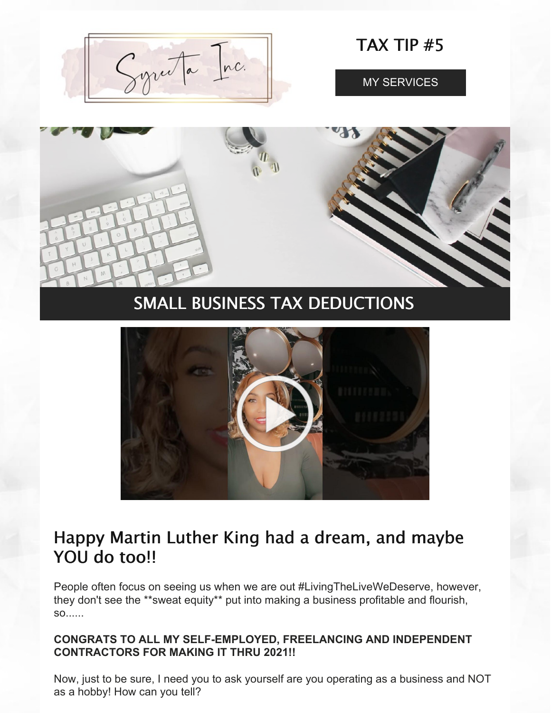

TAX TIP #5

MY [SERVICES](https://www.syreeta.biz/services)





# Happy Martin Luther King had a dream, and maybe YOU do too!!

People often focus on seeing us when we are out #LivingTheLiveWeDeserve, however, they don't see the \*\*sweat equity\*\* put into making a business profitable and flourish, so......

# **CONGRATS TO ALL MY SELF-EMPLOYED, FREELANCING AND INDEPENDENT CONTRACTORS FOR MAKING IT THRU 2021!!**

Now, just to be sure, I need you to ask yourself are you operating as a business and NOT as a hobby! How can you tell?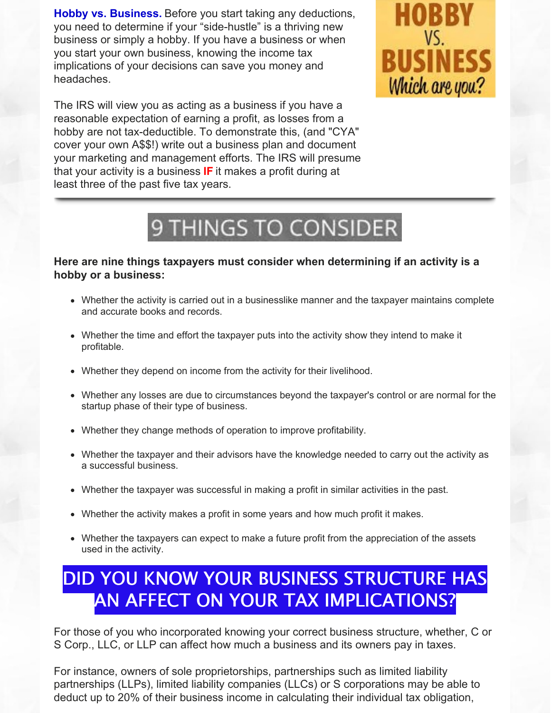**Hobby vs. Business.** Before you start taking any deductions, you need to determine if your "side-hustle" is a thriving new business or simply a hobby. If you have a business or when you start your own business, knowing the income tax implications of your decisions can save you money and headaches.

The IRS will view you as acting as a business if you have a reasonable expectation of earning a profit, as losses from a hobby are not tax-deductible. To demonstrate this, (and "CYA" cover your own A\$\$!) write out a business plan and document your marketing and management efforts. The IRS will presume that your activity is a business **IF** it makes a profit during at least three of the past five tax years.



# 9 THINGS TO CONSIDER

# **Here are nine things taxpayers must consider when determining if an activity is a hobby or a business:**

- Whether the activity is carried out in a businesslike manner and the taxpayer maintains complete and accurate books and records.
- Whether the time and effort the taxpayer puts into the activity show they intend to make it profitable.
- Whether they depend on income from the activity for their livelihood.
- Whether any losses are due to circumstances beyond the taxpayer's control or are normal for the startup phase of their type of business.
- Whether they change methods of operation to improve profitability.
- Whether the taxpayer and their advisors have the knowledge needed to carry out the activity as a successful business.
- Whether the taxpayer was successful in making a profit in similar activities in the past.
- Whether the activity makes a profit in some years and how much profit it makes.
- Whether the taxpayers can expect to make a future profit from the appreciation of the assets used in the activity.

# DID YOU KNOW YOUR BUSINESS STRUCTURE HAS AN AFFECT ON YOUR TAX IMPLICATIONS?

For those of you who incorporated knowing your correct business structure, whether, C or S Corp., LLC, or LLP can affect how much a business and its owners pay in taxes.

For instance, owners of sole proprietorships, partnerships such as limited liability partnerships (LLPs), limited liability companies (LLCs) or S corporations may be able to deduct up to 20% of their business income in calculating their individual tax obligation,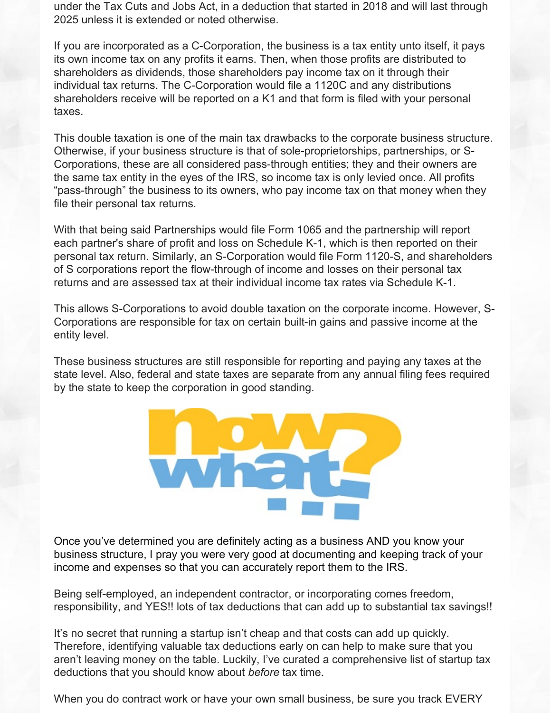under the Tax Cuts and Jobs Act, in a deduction that started in 2018 and will last through 2025 unless it is extended or noted otherwise.

If you are incorporated as a C-Corporation, the business is a tax entity unto itself, it pays its own income tax on any profits it earns. Then, when those profits are distributed to shareholders as dividends, those shareholders pay income tax on it through their individual tax returns. The C-Corporation would file a 1120C and any distributions shareholders receive will be reported on a K1 and that form is filed with your personal taxes.

This double taxation is one of the main tax drawbacks to the corporate business structure. Otherwise, if your business structure is that of sole-proprietorships, partnerships, or S-Corporations, these are all considered pass-through entities; they and their owners are the same tax entity in the eyes of the IRS, so income tax is only levied once. All profits "pass-through" the business to its owners, who pay income tax on that money when they file their personal tax returns.

With that being said Partnerships would file Form 1065 and the partnership will report each partner's share of profit and loss on Schedule K-1, which is then reported on their personal tax return. Similarly, an S-Corporation would file Form 1120-S, and shareholders of S corporations report the flow-through of income and losses on their personal tax returns and are assessed tax at their individual income tax rates via Schedule K-1.

This allows S-Corporations to avoid double taxation on the corporate income. However, S-Corporations are responsible for tax on certain built-in gains and passive income at the entity level.

These business structures are still responsible for reporting and paying any taxes at the state level. Also, federal and state taxes are separate from any annual filing fees required by the state to keep the corporation in good standing.



Once you've determined you are definitely acting as a business AND you know your business structure, I pray you were very good at documenting and keeping track of your income and expenses so that you can accurately report them to the IRS.

Being self-employed, an independent contractor, or incorporating comes freedom, responsibility, and YES!! lots of tax deductions that can add up to substantial tax savings!!

It's no secret that running a startup isn't cheap and that costs can add up quickly. Therefore, identifying valuable tax deductions early on can help to make sure that you aren't leaving money on the table. Luckily, I've curated a comprehensive list of startup tax deductions that you should know about *before* tax time.

When you do contract work or have your own small business, be sure you track EVERY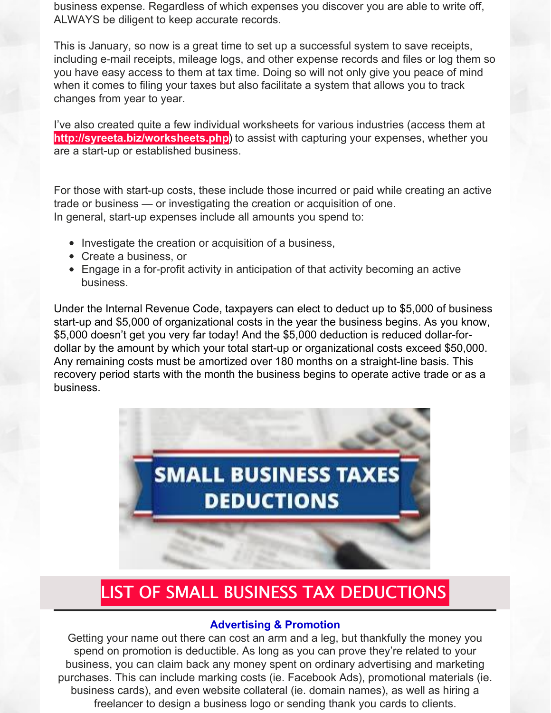business expense. Regardless of which expenses you discover you are able to write off, ALWAYS be diligent to keep accurate records.

This is January, so now is a great time to set up a successful system to save receipts, including e-mail receipts, mileage logs, and other expense records and files or log them so you have easy access to them at tax time. Doing so will not only give you peace of mind when it comes to filing your taxes but also facilitate a system that allows you to track changes from year to year.

I've also created quite a few individual worksheets for various industries (access them at **<http://syreeta.biz/worksheets.php>**) to assist with capturing your expenses, whether you are a start-up or established business.

For those with start-up costs, these include those incurred or paid while creating an active trade or business — or investigating the creation or acquisition of one. In general, start-up expenses include all amounts you spend to:

- Investigate the creation or acquisition of a business,
- Create a business, or
- Engage in a for-profit activity in anticipation of that activity becoming an active business.

Under the Internal Revenue Code, taxpayers can elect to deduct up to \$5,000 of business start-up and \$5,000 of organizational costs in the year the business begins. As you know, \$5,000 doesn't get you very far today! And the \$5,000 deduction is reduced dollar-fordollar by the amount by which your total start-up or organizational costs exceed \$50,000. Any remaining costs must be amortized over 180 months on a straight-line basis. This recovery period starts with the month the business begins to operate active trade or as a business.



# LIST OF SMALL BUSINESS TAX DEDUCTIONS

# **Advertising & Promotion**

Getting your name out there can cost an arm and a leg, but thankfully the money you spend on promotion is deductible. As long as you can prove they're related to your business, you can claim back any money spent on ordinary advertising and marketing purchases. This can include marking costs (ie. Facebook Ads), promotional materials (ie. business cards), and even website collateral (ie. domain names), as well as hiring a freelancer to design a business logo or sending thank you cards to clients.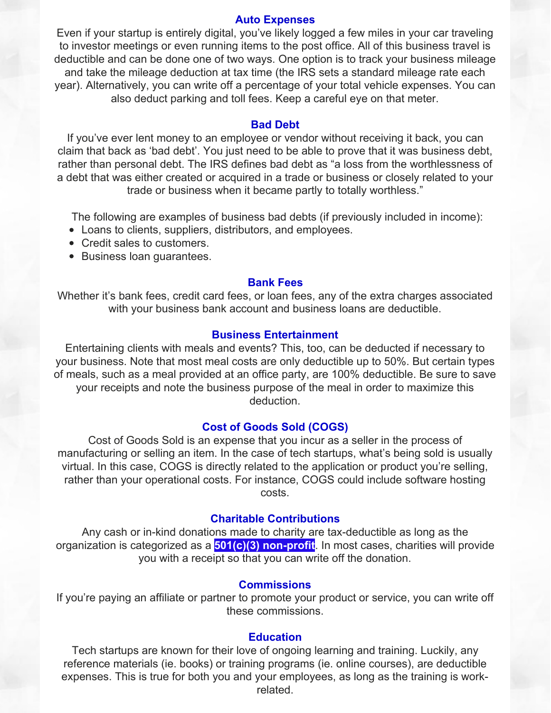### **Auto Expenses**

Even if your startup is entirely digital, you've likely logged a few miles in your car traveling to investor meetings or even running items to the post office. All of this business travel is deductible and can be done one of two ways. One option is to track your business mileage and take the mileage deduction at tax time (the IRS sets a standard mileage rate each year). Alternatively, you can write off a percentage of your total vehicle expenses. You can also deduct parking and toll fees. Keep a careful eye on that meter.

#### **Bad Debt**

If you've ever lent money to an employee or vendor without receiving it back, you can claim that back as 'bad debt'. You just need to be able to prove that it was business debt, rather than personal debt. The IRS defines bad debt as "a loss from the worthlessness of a debt that was either created or acquired in a trade or business or closely related to your trade or business when it became partly to totally worthless."

The following are examples of business bad debts (if previously included in income):

- Loans to clients, suppliers, distributors, and employees.
- Credit sales to customers.
- Business loan guarantees.

# **Bank Fees**

Whether it's bank fees, credit card fees, or loan fees, any of the extra charges associated with your business bank account and business loans are deductible.

#### **Business Entertainment**

Entertaining clients with meals and events? This, too, can be deducted if necessary to your business. Note that most meal costs are only deductible up to 50%. But certain types of meals, such as a meal provided at an office party, are 100% deductible. Be sure to save your receipts and note the business purpose of the meal in order to maximize this deduction.

## **Cost of Goods Sold (COGS)**

Cost of Goods Sold is an expense that you incur as a seller in the process of manufacturing or selling an item. In the case of tech startups, what's being sold is usually virtual. In this case, COGS is directly related to the application or product you're selling, rather than your operational costs. For instance, COGS could include software hosting costs.

#### **Charitable Contributions**

Any cash or in-kind donations made to charity are tax-deductible as long as the organization is categorized as a **501(c)(3) [non-profit](https://www.501c3.org/what-is-a-501c3/)**. In most cases, charities will provide you with a receipt so that you can write off the donation.

#### **Commissions**

If you're paying an affiliate or partner to promote your product or service, you can write off these commissions.

#### **Education**

Tech startups are known for their love of ongoing learning and training. Luckily, any reference materials (ie. books) or training programs (ie. online courses), are deductible expenses. This is true for both you and your employees, as long as the training is workrelated.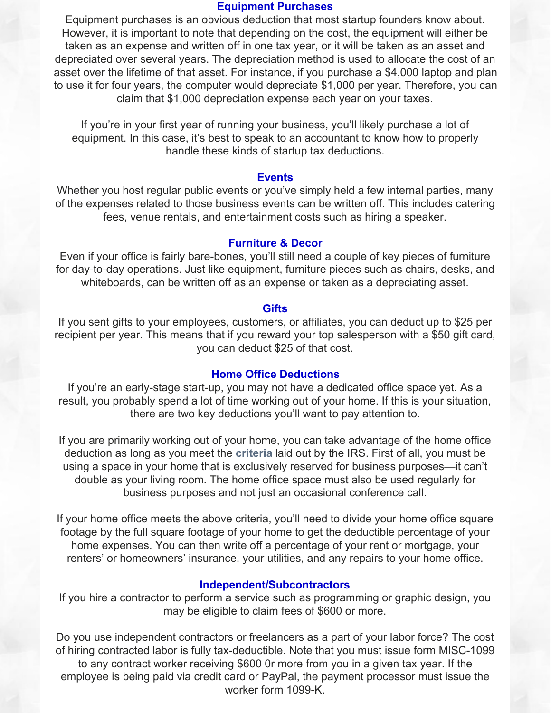#### **Equipment Purchases**

Equipment purchases is an obvious deduction that most startup founders know about. However, it is important to note that depending on the cost, the equipment will either be taken as an expense and written off in one tax year, or it will be taken as an asset and depreciated over several years. The depreciation method is used to allocate the cost of an asset over the lifetime of that asset. For instance, if you purchase a \$4,000 laptop and plan to use it for four years, the computer would depreciate \$1,000 per year. Therefore, you can claim that \$1,000 depreciation expense each year on your taxes.

If you're in your first year of running your business, you'll likely purchase a lot of equipment. In this case, it's best to speak to an accountant to know how to properly handle these kinds of startup tax deductions.

#### **Events**

Whether you host regular public events or you've simply held a few internal parties, many of the expenses related to those business events can be written off. This includes catering fees, venue rentals, and entertainment costs such as hiring a speaker.

### **Furniture & Decor**

Even if your office is fairly bare-bones, you'll still need a couple of key pieces of furniture for day-to-day operations. Just like equipment, furniture pieces such as chairs, desks, and whiteboards, can be written off as an expense or taken as a depreciating asset.

#### **Gifts**

If you sent gifts to your employees, customers, or affiliates, you can deduct up to \$25 per recipient per year. This means that if you reward your top salesperson with a \$50 gift card, you can deduct \$25 of that cost.

### **Home Office Deductions**

If you're an early-stage start-up, you may not have a dedicated office space yet. As a result, you probably spend a lot of time working out of your home. If this is your situation, there are two key deductions you'll want to pay attention to.

If you are primarily working out of your home, you can take advantage of the home office deduction as long as you meet the **[criteria](https://www.irs.gov/businesses/small-businesses-self-employed/home-office-deduction)** laid out by the IRS. First of all, you must be using a space in your home that is exclusively reserved for business purposes—it can't double as your living room. The home office space must also be used regularly for business purposes and not just an occasional conference call.

If your home office meets the above criteria, you'll need to divide your home office square footage by the full square footage of your home to get the deductible percentage of your home expenses. You can then write off a percentage of your rent or mortgage, your renters' or homeowners' insurance, your utilities, and any repairs to your home office.

# **Independent/Subcontractors**

If you hire a contractor to perform a service such as programming or graphic design, you may be eligible to claim fees of \$600 or more.

Do you use independent contractors or freelancers as a part of your labor force? The cost of hiring contracted labor is fully tax-deductible. Note that you must issue form MISC-1099 to any contract worker receiving \$600 0r more from you in a given tax year. If the employee is being paid via credit card or PayPal, the payment processor must issue the worker form 1099-K.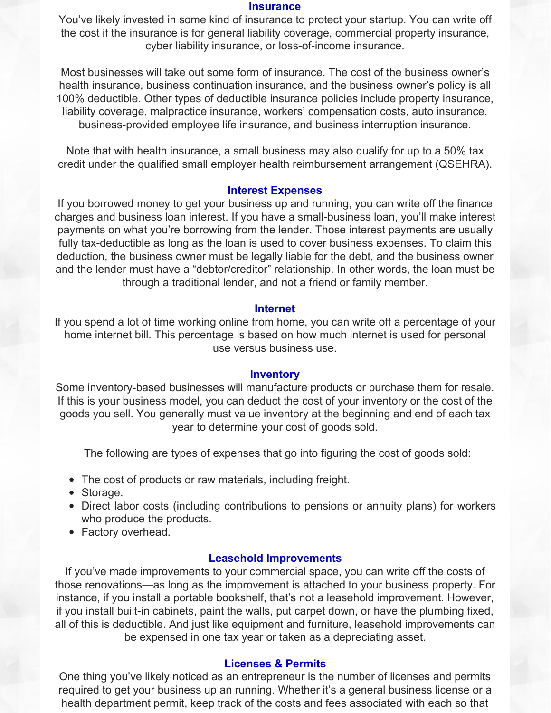#### **Insurance**

You've likely invested in some kind of insurance to protect your startup. You can write off the cost if the insurance is for general liability coverage, commercial property insurance, cyber liability insurance, or loss-of-income insurance.

Most businesses will take out some form of insurance. The cost of the business owner's health insurance, business continuation insurance, and the business owner's policy is all 100% deductible. Other types of deductible insurance policies include property insurance, liability coverage, malpractice insurance, workers' compensation costs, auto insurance, business-provided employee life insurance, and business interruption insurance.

Note that with health insurance, a small business may also qualify for up to a 50% tax credit under the qualified small employer health reimbursement arrangement (QSEHRA).

#### **Interest Expenses**

If you borrowed money to get your business up and running, you can write off the finance charges and business loan interest. If you have a small-business loan, you'll make interest payments on what you're borrowing from the lender. Those interest payments are usually fully tax-deductible as long as the loan is used to cover business expenses. To claim this deduction, the business owner must be legally liable for the debt, and the business owner and the lender must have a "debtor/creditor" relationship. In other words, the loan must be through a traditional lender, and not a friend or family member.

#### **Internet**

If you spend a lot of time working online from home, you can write off a percentage of your home internet bill. This percentage is based on how much internet is used for personal use versus business use.

#### **Inventory**

Some inventory-based businesses will manufacture products or purchase them for resale. If this is your business model, you can deduct the cost of your inventory or the cost of the goods you sell. You generally must value inventory at the beginning and end of each tax year to determine your cost of goods sold.

The following are types of expenses that go into figuring the cost of goods sold:

- The cost of products or raw materials, including freight.
- Storage.
- Direct labor costs (including contributions to pensions or annuity plans) for workers who produce the products.
- Factory overhead.

#### **Leasehold Improvements**

If you've made improvements to your commercial space, you can write off the costs of those renovations—as long as the improvement is attached to your business property. For instance, if you install a portable bookshelf, that's not a leasehold improvement. However, if you install built-in cabinets, paint the walls, put carpet down, or have the plumbing fixed, all of this is deductible. And just like equipment and furniture, leasehold improvements can be expensed in one tax year or taken as a depreciating asset.

# **Licenses & Permits**

One thing you've likely noticed as an entrepreneur is the number of licenses and permits required to get your business up an running. Whether it's a general business license or a health department permit, keep track of the costs and fees associated with each so that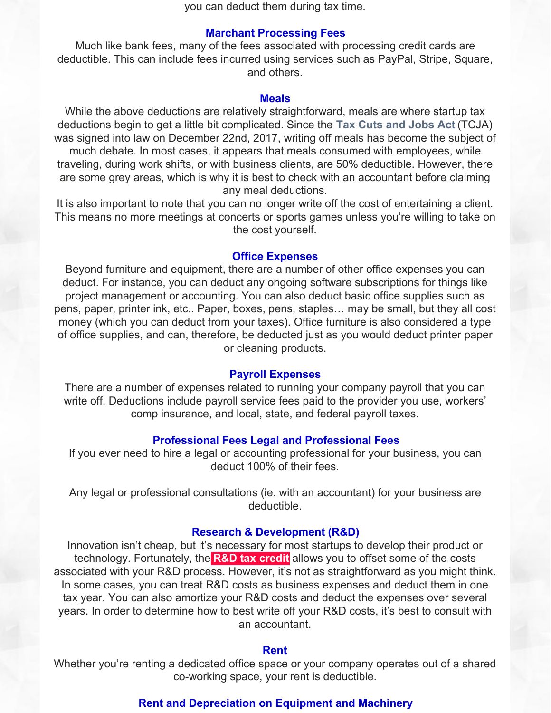you can deduct them during tax time.

#### **Marchant Processing Fees**

Much like bank fees, many of the fees associated with processing credit cards are deductible. This can include fees incurred using services such as PayPal, Stripe, Square, and others.

## **Meals**

While the above deductions are relatively straightforward, meals are where startup tax deductions begin to get a little bit complicated. Since the **Tax Cuts and [Jobs](https://www.irs.gov/pub/irs-pdf/p5318.pdf) Act** (TCJA) was signed into law on December 22nd, 2017, writing off meals has become the subject of much debate. In most cases, it appears that meals consumed with employees, while traveling, during work shifts, or with business clients, are 50% deductible. However, there are some grey areas, which is why it is best to check with an accountant before claiming any meal deductions.

It is also important to note that you can no longer write off the cost of entertaining a client. This means no more meetings at concerts or sports games unless you're willing to take on the cost yourself.

#### **Office Expenses**

Beyond furniture and equipment, there are a number of other office expenses you can deduct. For instance, you can deduct any ongoing software subscriptions for things like project management or accounting. You can also deduct basic office supplies such as pens, paper, printer ink, etc.. Paper, boxes, pens, staples… may be small, but they all cost money (which you can deduct from your taxes). Office furniture is also considered a type of office supplies, and can, therefore, be deducted just as you would deduct printer paper or cleaning products.

#### **Payroll Expenses**

There are a number of expenses related to running your company payroll that you can write off. Deductions include payroll service fees paid to the provider you use, workers' comp insurance, and local, state, and federal payroll taxes.

#### **Professional Fees Legal and Professional Fees**

If you ever need to hire a legal or accounting professional for your business, you can deduct 100% of their fees.

Any legal or professional consultations (ie. with an accountant) for your business are deductible.

#### **Research & Development (R&D)**

Innovation isn't cheap, but it's necessary for most startups to develop their product or technology. Fortunately, the **R&D tax [credit](https://www.irs.gov/pub/irs-pdf/i6765.pdf)** allows you to offset some of the costs associated with your R&D process. However, it's not as straightforward as you might think. In some cases, you can treat R&D costs as business expenses and deduct them in one tax year. You can also amortize your R&D costs and deduct the expenses over several years. In order to determine how to best write off your R&D costs, it's best to consult with an accountant.

#### **Rent**

Whether you're renting a dedicated office space or your company operates out of a shared co-working space, your rent is deductible.

# **Rent and Depreciation on Equipment and Machinery**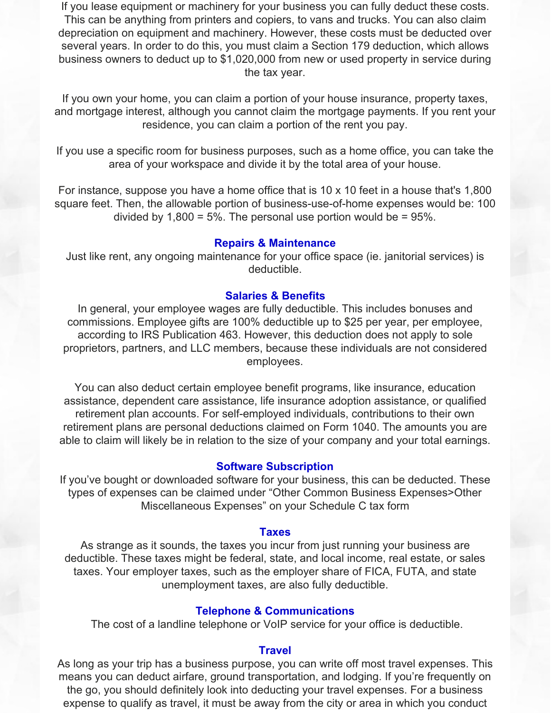If you lease equipment or machinery for your business you can fully deduct these costs. This can be anything from printers and copiers, to vans and trucks. You can also claim depreciation on equipment and machinery. However, these costs must be deducted over several years. In order to do this, you must claim a Section 179 deduction, which allows business owners to deduct up to \$1,020,000 from new or used property in service during the tax year.

If you own your home, you can claim a portion of your house insurance, property taxes, and mortgage interest, although you cannot claim the mortgage payments. If you rent your residence, you can claim a portion of the rent you pay.

If you use a specific room for business purposes, such as a home office, you can take the area of your workspace and divide it by the total area of your house.

For instance, suppose you have a home office that is 10 x 10 feet in a house that's 1,800 square feet. Then, the allowable portion of business-use-of-home expenses would be: 100 divided by  $1,800 = 5\%$ . The personal use portion would be = 95%.

# **Repairs & Maintenance**

Just like rent, any ongoing maintenance for your office space (ie. janitorial services) is deductible.

# **Salaries & Benefits**

In general, your employee wages are fully deductible. This includes bonuses and commissions. Employee gifts are 100% deductible up to \$25 per year, per employee, according to IRS Publication 463. However, this deduction does not apply to sole proprietors, partners, and LLC members, because these individuals are not considered employees.

You can also deduct certain employee benefit programs, like insurance, education assistance, dependent care assistance, life insurance adoption assistance, or qualified retirement plan accounts. For self-employed individuals, contributions to their own retirement plans are personal deductions claimed on Form 1040. The amounts you are able to claim will likely be in relation to the size of your company and your total earnings.

# **Software Subscription**

If you've bought or downloaded software for your business, this can be deducted. These types of expenses can be claimed under "Other Common Business Expenses>Other Miscellaneous Expenses" on your Schedule C tax form

#### **Taxes**

As strange as it sounds, the taxes you incur from just running your business are deductible. These taxes might be federal, state, and local income, real estate, or sales taxes. Your employer taxes, such as the employer share of FICA, FUTA, and state unemployment taxes, are also fully deductible.

#### **Telephone & Communications**

The cost of a landline telephone or VoIP service for your office is deductible.

## **Travel**

As long as your trip has a business purpose, you can write off most travel expenses. This means you can deduct airfare, ground transportation, and lodging. If you're frequently on the go, you should definitely look into deducting your travel expenses. For a business expense to qualify as travel, it must be away from the city or area in which you conduct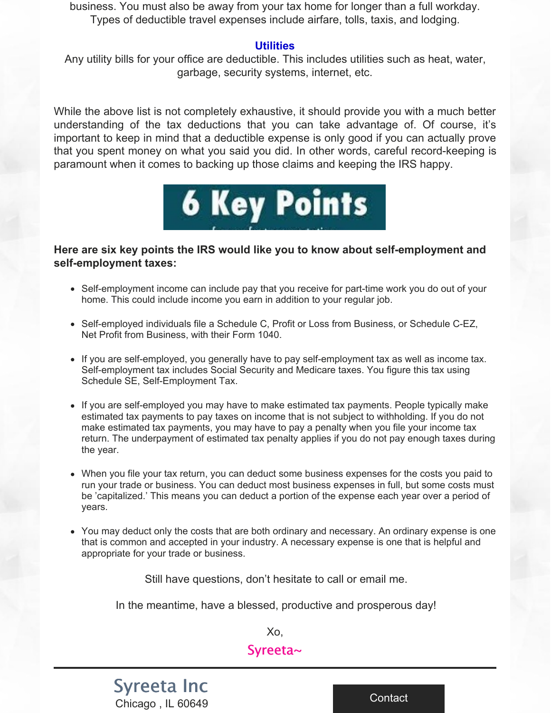business. You must also be away from your tax home for longer than a full workday. Types of deductible travel expenses include airfare, tolls, taxis, and lodging.

# **Utilities**

Any utility bills for your office are deductible. This includes utilities such as heat, water, garbage, security systems, internet, etc.

While the above list is not completely exhaustive, it should provide you with a much better understanding of the tax deductions that you can take advantage of. Of course, it's important to keep in mind that a deductible expense is only good if you can actually prove that you spent money on what you said you did. In other words, careful record-keeping is paramount when it comes to backing up those claims and keeping the IRS happy.



# **Here are six key points the IRS would like you to know about self-employment and self-employment taxes:**

- Self-employment income can include pay that you receive for part-time work you do out of your home. This could include income you earn in addition to your regular job.
- Self-employed individuals file a Schedule C, Profit or Loss from Business, or Schedule C-EZ, Net Profit from Business, with their Form 1040.
- If you are self-employed, you generally have to pay self-employment tax as well as income tax. Self-employment tax includes Social Security and Medicare taxes. You figure this tax using Schedule SE, Self-Employment Tax.
- If you are self-employed you may have to make estimated tax payments. People typically make estimated tax payments to pay taxes on income that is not subject to withholding. If you do not make estimated tax payments, you may have to pay a penalty when you file your income tax return. The underpayment of estimated tax penalty applies if you do not pay enough taxes during the year.
- When you file your tax return, you can deduct some business expenses for the costs you paid to run your trade or business. You can deduct most business expenses in full, but some costs must be 'capitalized.' This means you can deduct a portion of the expense each year over a period of years.
- You may deduct only the costs that are both ordinary and necessary. An ordinary expense is one that is common and accepted in your industry. A necessary expense is one that is helpful and appropriate for your trade or business.

Still have questions, don't hesitate to call or email me.

In the meantime, have a blessed, productive and prosperous day!

Xo,

# Syreeta~

# [Syreeta](https://www.syreeta.biz/) Inc Chicago , IL 60649

[Contact](https://www.syreeta.biz/contact)